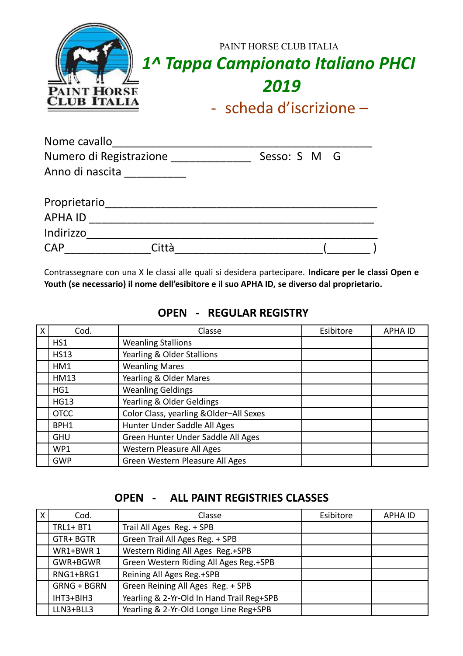| <b>PAINT HORSE</b><br><b>CLUB ITALIA</b> | PAINT HORSE CLUB ITALIA<br>1^ Tappa Campionato Italiano PHCI<br>2019<br>- scheda d'iscrizione $-$ |
|------------------------------------------|---------------------------------------------------------------------------------------------------|
|                                          |                                                                                                   |

| Nome cavallo            |       |              |  |
|-------------------------|-------|--------------|--|
| Numero di Registrazione |       | Sesso: S M G |  |
| Anno di nascita         |       |              |  |
| Proprietario            |       |              |  |
| <b>APHA ID</b>          |       |              |  |
| Indirizzo               |       |              |  |
| <b>CAP</b>              | Città |              |  |

Contrassegnare con una X le classi alle quali si desidera partecipare. **Indicare per le classi Open e Youth (se necessario) il nome dell'esibitore e il suo APHA ID, se diverso dal proprietario.**

| X | Cod.        | Classe                                  | Esibitore | <b>APHA ID</b> |
|---|-------------|-----------------------------------------|-----------|----------------|
|   | HS1         | <b>Weanling Stallions</b>               |           |                |
|   | <b>HS13</b> | Yearling & Older Stallions              |           |                |
|   | HM1         | <b>Weanling Mares</b>                   |           |                |
|   | <b>HM13</b> | Yearling & Older Mares                  |           |                |
|   | HG1         | <b>Weanling Geldings</b>                |           |                |
|   | <b>HG13</b> | Yearling & Older Geldings               |           |                |
|   | <b>OTCC</b> | Color Class, yearling & Older-All Sexes |           |                |
|   | BPH1        | Hunter Under Saddle All Ages            |           |                |
|   | <b>GHU</b>  | Green Hunter Under Saddle All Ages      |           |                |
|   | WP1         | Western Pleasure All Ages               |           |                |
|   | <b>GWP</b>  | Green Western Pleasure All Ages         |           |                |

## **OPEN - REGULAR REGISTRY**

#### **OPEN - ALL PAINT REGISTRIES CLASSES**

| X | Cod.               | Classe                                    | Esibitore | <b>APHA ID</b> |
|---|--------------------|-------------------------------------------|-----------|----------------|
|   | <b>TRL1+ BT1</b>   | Trail All Ages Reg. + SPB                 |           |                |
|   | GTR+ BGTR          | Green Trail All Ages Reg. + SPB           |           |                |
|   | WR1+BWR 1          | Western Riding All Ages Reg.+SPB          |           |                |
|   | GWR+BGWR           | Green Western Riding All Ages Reg.+SPB    |           |                |
|   | RNG1+BRG1          | Reining All Ages Reg.+SPB                 |           |                |
|   | <b>GRNG + BGRN</b> | Green Reining All Ages Reg. + SPB         |           |                |
|   | IHT3+BIH3          | Yearling & 2-Yr-Old In Hand Trail Reg+SPB |           |                |
|   | LLN3+BLL3          | Yearling & 2-Yr-Old Longe Line Reg+SPB    |           |                |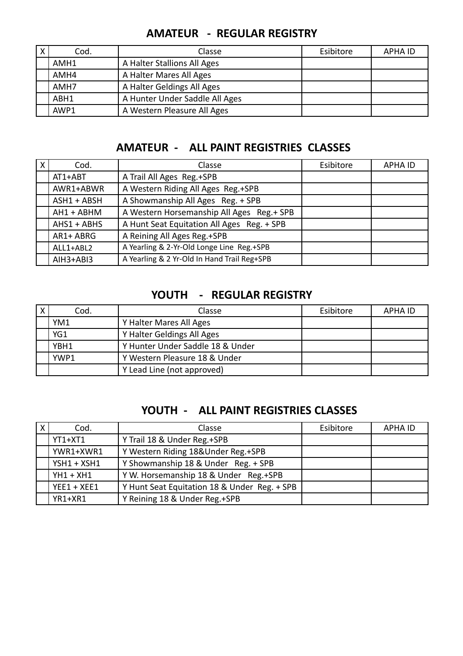| χ | Cod. | Classe                         | Esibitore | APHA ID |
|---|------|--------------------------------|-----------|---------|
|   | AMH1 | A Halter Stallions All Ages    |           |         |
|   | AMH4 | A Halter Mares All Ages        |           |         |
|   | AMH7 | A Halter Geldings All Ages     |           |         |
|   | ABH1 | A Hunter Under Saddle All Ages |           |         |
|   | AWP1 | A Western Pleasure All Ages    |           |         |

# **AMATEUR - REGULAR REGISTRY**

# **AMATEUR - ALL PAINT REGISTRIES CLASSES**

| $\mathsf{X}$ | Cod.          | Classe                                      | Esibitore | <b>APHA ID</b> |
|--------------|---------------|---------------------------------------------|-----------|----------------|
|              | AT1+ABT       | A Trail All Ages Reg.+SPB                   |           |                |
|              | AWR1+ABWR     | A Western Riding All Ages Reg.+SPB          |           |                |
|              | ASH1 + ABSH   | A Showmanship All Ages Reg. + SPB           |           |                |
|              | AH1 + ABHM    | A Western Horsemanship All Ages Reg.+ SPB   |           |                |
|              | $AHS1 + ABHS$ | A Hunt Seat Equitation All Ages Reg. + SPB  |           |                |
|              | AR1+ ABRG     | A Reining All Ages Reg.+SPB                 |           |                |
|              | ALL1+ABL2     | A Yearling & 2-Yr-Old Longe Line Reg.+SPB   |           |                |
|              | AIH3+ABI3     | A Yearling & 2 Yr-Old In Hand Trail Reg+SPB |           |                |

### **YOUTH - REGULAR REGISTRY**

| $\overline{X}$ | Cod. | Classe                           | Esibitore | APHA ID |
|----------------|------|----------------------------------|-----------|---------|
|                | YM1  | Y Halter Mares All Ages          |           |         |
|                | YG1  | Y Halter Geldings All Ages       |           |         |
|                | YBH1 | Y Hunter Under Saddle 18 & Under |           |         |
|                | YWP1 | Y Western Pleasure 18 & Under    |           |         |
|                |      | Y Lead Line (not approved)       |           |         |

## **YOUTH - ALL PAINT REGISTRIES CLASSES**

| $\mathsf{X}$ | Cod.          | Classe                                       | Esibitore | <b>APHA ID</b> |
|--------------|---------------|----------------------------------------------|-----------|----------------|
|              | $YT1+XT1$     | Y Trail 18 & Under Reg.+SPB                  |           |                |
|              | YWR1+XWR1     | Y Western Riding 18&Under Reg.+SPB           |           |                |
|              | $YSH1 + XSH1$ | Y Showmanship 18 & Under Reg. + SPB          |           |                |
|              | $YH1 + XH1$   | Y W. Horsemanship 18 & Under Reg.+SPB        |           |                |
|              | $YEE1 + XEE1$ | Y Hunt Seat Equitation 18 & Under Reg. + SPB |           |                |
|              | YR1+XR1       | Y Reining 18 & Under Reg.+SPB                |           |                |